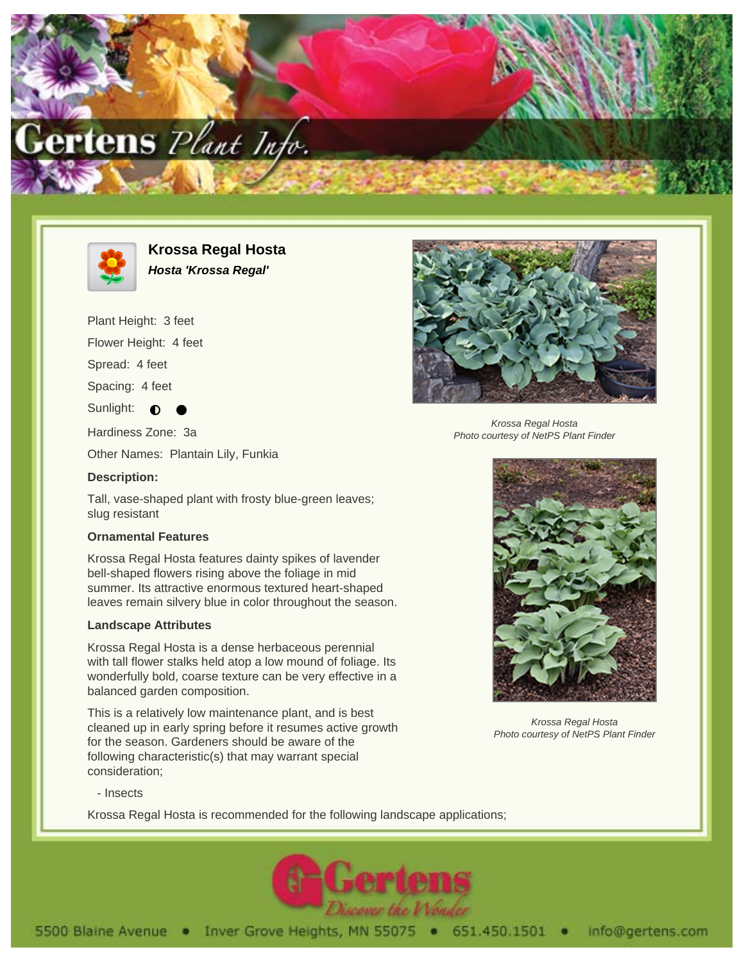



**Krossa Regal Hosta Hosta 'Krossa Regal'**

Plant Height: 3 feet

Flower Height: 4 feet

Spread: 4 feet

Spacing: 4 feet

Sunlight:  $\bullet$ 

Hardiness Zone: 3a

Other Names: Plantain Lily, Funkia

### **Description:**

Tall, vase-shaped plant with frosty blue-green leaves; slug resistant

# **Ornamental Features**

Krossa Regal Hosta features dainty spikes of lavender bell-shaped flowers rising above the foliage in mid summer. Its attractive enormous textured heart-shaped leaves remain silvery blue in color throughout the season.

#### **Landscape Attributes**

Krossa Regal Hosta is a dense herbaceous perennial with tall flower stalks held atop a low mound of foliage. Its wonderfully bold, coarse texture can be very effective in a balanced garden composition.

This is a relatively low maintenance plant, and is best cleaned up in early spring before it resumes active growth for the season. Gardeners should be aware of the following characteristic(s) that may warrant special consideration;



Krossa Regal Hosta Photo courtesy of NetPS Plant Finder



Krossa Regal Hosta Photo courtesy of NetPS Plant Finder

- Insects

Krossa Regal Hosta is recommended for the following landscape applications;